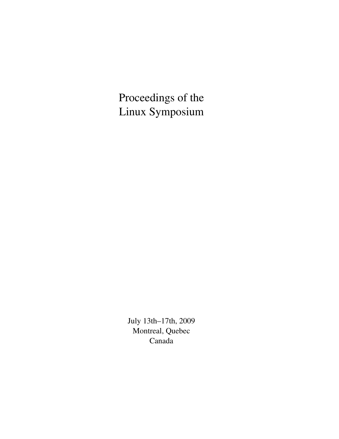Proceedings of the Linux Symposium

> July 13th–17th, 2009 Montreal, Quebec Canada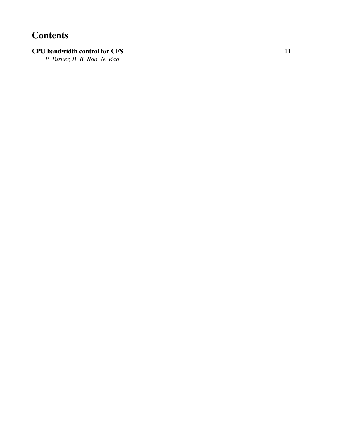# **Contents**

## CPU bandwidth control for CFS 11

*P. Turner, B. B. Rao, N. Rao*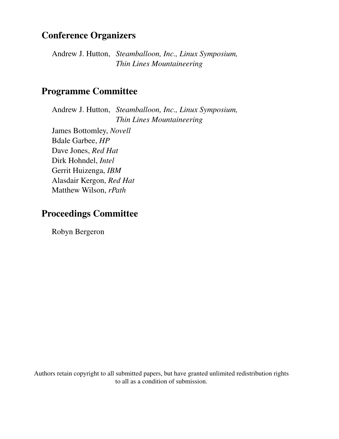## Conference Organizers

Andrew J. Hutton, *Steamballoon, Inc., Linux Symposium, Thin Lines Mountaineering*

## Programme Committee

Andrew J. Hutton, *Steamballoon, Inc., Linux Symposium, Thin Lines Mountaineering*

James Bottomley, *Novell* Bdale Garbee, *HP* Dave Jones, *Red Hat* Dirk Hohndel, *Intel* Gerrit Huizenga, *IBM* Alasdair Kergon, *Red Hat* Matthew Wilson, *rPath*

## Proceedings Committee

Robyn Bergeron

Authors retain copyright to all submitted papers, but have granted unlimited redistribution rights to all as a condition of submission.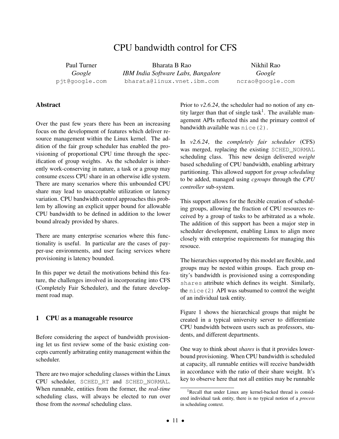## CPU bandwidth control for CFS

Paul Turner *Google* pjt@google.com

Bharata B Rao *IBM India Software Labs, Bangalore* bharata@linux.vnet.ibm.com

Nikhil Rao *Google* ncrao@google.com

## **Abstract**

Over the past few years there has been an increasing focus on the development of features which deliver resource management within the Linux kernel. The addition of the fair group scheduler has enabled the provisioning of proportional CPU time through the specification of group weights. As the scheduler is inherently work-conserving in nature, a task or a group may consume excess CPU share in an otherwise idle system. There are many scenarios where this unbounded CPU share may lead to unacceptable utilization or latency variation. CPU bandwidth control approaches this problem by allowing an explicit upper bound for allowable CPU bandwidth to be defined in addition to the lower bound already provided by shares.

There are many enterprise scenarios where this functionality is useful. In particular are the cases of payper-use environments, and user facing services where provisioning is latency bounded.

In this paper we detail the motivations behind this feature, the challenges involved in incorporating into CFS (Completely Fair Scheduler), and the future development road map.

## 1 CPU as a manageable resource

Before considering the aspect of bandwidth provisioning let us first review some of the basic existing concepts currently arbitrating entity management within the scheduler.

There are two major scheduling classes within the Linux CPU scheduler, SCHED\_RT and SCHED\_NORMAL. When runnable, entities from the former, the *real-time* scheduling class, will always be elected to run over those from the *normal* scheduling class.

Prior to  $v2.6.24$ , the scheduler had no notion of any entity larger than that of single task<sup>1</sup>. The available management APIs reflected this and the primary control of bandwidth available was nice(2).

In *v2.6.24*, the *completely fair scheduler* (CFS) was merged, replacing the existing SCHED\_NORMAL scheduling class. This new design delivered *weight* based scheduling of CPU bandwidth, enabling arbitrary partitioning. This allowed support for *group scheduling* to be added, managed using *cgroups* through the *CPU controller* sub-system.

This support allows for the flexible creation of scheduling groups, allowing the fraction of CPU resources received by a group of tasks to be arbitrated as a whole. The addition of this support has been a major step in scheduler development, enabling Linux to align more closely with enterprise requirements for managing this resouce.

The hierarchies supported by this model are flexible, and groups may be nested within groups. Each group entity's bandwidth is provisioned using a corresponding shares attribute which defines its weight. Similarly, the  $nice(2)$  API was subsumed to control the weight of an individual task entity.

Figure 1 shows the hierarchical groups that might be created in a typical university server to differentiate CPU bandwidth between users such as professors, students, and different departments.

One way to think about *shares* is that it provides lowerbound provisioning. When CPU bandwidth is scheduled at capacity, all runnable entities will receive bandwidth in accordance with the ratio of their share weight. It's key to observe here that not all entities may be runnable

<sup>&</sup>lt;sup>1</sup>Recall that under Linux any kernel-backed thread is considered individual task entity, there is no typical notion of a *process* in scheduling context.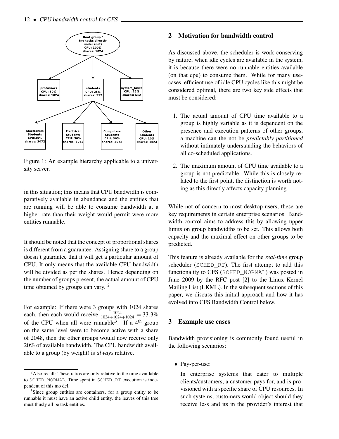

Figure 1: An example hierarchy applicable to a university server.

in this situation; this means that CPU bandwidth is comparatively available in abundance and the entities that are running will be able to consume bandwidth at a higher rate than their weight would permit were more entities runnable.

It should be noted that the concept of proportional shares is different from a guarantee. Assigning share to a group doesn't guarantee that it will get a particular amount of CPU. It only means that the available CPU bandwidth will be divided as per the shares. Hence depending on the number of groups present, the actual amount of CPU time obtained by groups can vary.<sup>2</sup>

For example: If there were 3 groups with 1024 shares each, then each would receive  $\frac{1024}{1024+1024+1024} = 33.3\%$ of the CPU when all were runnable<sup>3</sup>. If a 4<sup>th</sup> group on the same level were to become active with a share of 2048, then the other groups would now receive only 20% of available bandwidth. The CPU bandwidth available to a group (by weight) is *always* relative.

## 2 Motivation for bandwidth control

As discussed above, the scheduler is work conserving by nature; when idle cycles are available in the system, it is because there were no runnable entities available (on that cpu) to consume them. While for many usecases, efficient use of idle CPU cycles like this might be considered optimal, there are two key side effects that must be considered:

- 1. The actual amount of CPU time available to a group is highly variable as it is dependent on the presence and execution patterns of other groups, a machine can the not be *predictably partitioned* without intimately understanding the behaviors of all co-scheduled applications.
- 2. The maximum amount of CPU time available to a group is not predictable. While this is closely related to the first point, the distinction is worth noting as this directly affects capacity planning.

While not of concern to most desktop users, these are key requirements in certain enterprise scenarios. Bandwidth control aims to address this by allowing upper limits on group bandwidths to be set. This allows both capacity and the maximal effect on other groups to be predicted.

This feature is already available for the *real-time* group scheduler (SCHED\_RT). The first attempt to add this functionality to CFS (SCHED\_NORMAL) was posted in June 2009 by the RFC post [2] to the Linux Kernel Mailing List (LKML). In the subsequent sections of this paper, we discuss this initial approach and how it has evolved into CFS Bandwidth Control below.

#### 3 Example use cases

Bandwidth provisioning is commonly found useful in the following scenarios:

• Pay-per-use:

In enterprise systems that cater to multiple clients/customers, a customer pays for, and is provisioned with a specific share of CPU resources. In such systems, customers would object should they receive less and its in the provider's interest that

<sup>2</sup>Also recall: These ratios are only relative to the time avai lable to SCHED\_NORMAL. Time spent in SCHED\_RT execution is independent of this mo del.

<sup>&</sup>lt;sup>3</sup>Since group entities are containers, for a group entity to be runnable it must have an active child entity, the leaves of this tree must thusly all be task entities.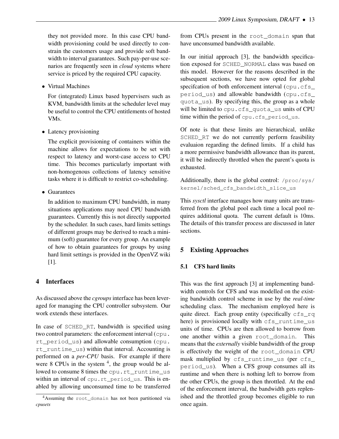they not provided more. In this case CPU bandwidth provisioning could be used directly to constrain the customers usage and provide soft bandwidth to interval guarantees. Such pay-per-use scenarios are frequently seen in *cloud* systems where service is priced by the required CPU capacity.

• Virtual Machines

For (integrated) Linux based hypervisers such as KVM, bandwidth limits at the scheduler level may be useful to control the CPU entitlements of hosted VMs.

• Latency provisioning

The explicit provisioning of containers within the machine allows for expectations to be set with respect to latency and worst-case access to CPU time. This becomes particularly important with non-homogenous collections of latency sensitive tasks where it is difficult to restrict co-scheduling.

• Guarantees

In addition to maximum CPU bandwidth, in many situations applications may need CPU bandwidth guarantees. Currently this is not directly supported by the scheduler. In such cases, hard limits settings of different groups may be derived to reach a minimum (soft) guarantee for every group. An example of how to obtain guarantees for groups by using hard limit settings is provided in the OpenVZ wiki [1].

## 4 Interfaces

As discussed above the *cgroups* interface has been leveraged for managing the CPU controller subsystem. Our work extends these interfaces.

In case of SCHED\_RT, bandwidth is specified using two control parameters: the enforcement interval (cpu. rt\_period\_us) and allowable consumption (cpu. rt\_runtime\_us) within that interval. Accounting is performed on a *per-CPU* basis. For example if there were  $8$  CPUs in the system  $4$ , the group would be allowed to consume 8 times the cpu.rt\_runtime\_us within an interval of cpu.rt period us. This is enabled by allowing unconsumed time to be transferred

from CPUs present in the root\_domain span that have unconsumed bandwidth available.

In our initial approach [3], the bandwidth specification exposed for SCHED\_NORMAL class was based on this model. However for the reasons described in the subsequent sections, we have now opted for global specifcation of both enforcement interval (cpu.cfs\_ period\_us) and allowable bandwidth (cpu.cfs\_ quota\_us). By specifying this, the group as a whole will be limited to cpu.cfs\_quota\_us units of CPU time within the period of cpu.cfs period us.

Of note is that these limits are hierarchical, unlike SCHED\_RT we do not currently perform feasibility evaluaion regarding the defined limits. If a child has a more permissive bandwidth allowance than its parent, it will be indirectly throttled when the parent's quota is exhausted.

Additionally, there is the global control: /proc/sys/ kernel/sched\_cfs\_bandwidth\_slice\_us

This *sysctl* interface manages how many units are transferred from the global pool each time a local pool requires additional quota. The current default is 10ms. The details of this transfer process are discussed in later sections.

## 5 Existing Approaches

## 5.1 CFS hard limits

This was the first approach [3] at implementing bandwidth controls for CFS and was modelled on the existing bandwidth control scheme in use by the *real-time* scheduling class. The mechanism employed here is quite direct. Each group entity (specifically cfs\_rq here) is provisioned locally with cfs runtime us units of time. CPUs are then allowed to borrow from one another within a given root\_domain. This means that the *externally* visible bandwidth of the group is effectively the weight of the root\_domain CPU mask multiplied by cfs\_runtime\_us (per cfs\_ period\_us). When a CFS group consumes all its runtime and when there is nothing left to borrow from the other CPUs, the group is then throttled. At the end of the enforcement interval, the bandwidth gets replenished and the throttled group becomes eligible to run once again.

<sup>4</sup>Assuming the root\_domain has not been partitioned via *cpusets*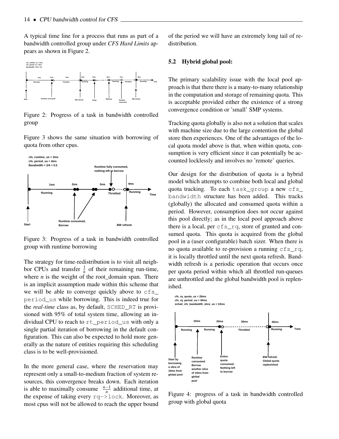A typical time line for a process that runs as part of a bandwidth controlled group under *CFS Hard Limits* appears as shown in Figure 2.



Figure 2: Progress of a task in bandwidth controlled group

Figure 3 shows the same situation with borrowing of quota from other cpus.



Figure 3: Progress of a task in bandwidth controlled group with runtime borrowing

The strategy for time-redistribution is to visit all neighbor CPUs and transfer  $\frac{1}{n}$  of their remaining run-time, where  $n$  is the weight of the root\_domain span. There is an implicit assumption made within this scheme that we will be able to converge quickly above to  $cfs$ period\_us while borrowing. This is indeed true for the *real-time* class as, by default, SCHED\_RT is provisioned with 95% of total system time, allowing an individual CPU to reach to rt\_period\_us with only a single partial iteration of borrowing in the default configuration. This can also be expected to hold more generally as the nature of entities requiring this scheduling class is to be well-provisioned.

In the more general case, where the reservation may represent only a small-to-medium fraction of system resources, this convergence breaks down. Each iteration is able to maximally consume  $\frac{n-1}{n}$  additional time, at the expense of taking every rq->lock. Moreover, as most cpus will not be allowed to reach the upper bound of the period we will have an extremely long tail of redistribution.

#### 5.2 Hybrid global pool:

The primary scalability issue with the local pool approach is that there there is a many-to-many relationship in the computation and storage of remaining quota. This is acceptable provided either the existence of a strong convergence condition or 'small' SMP systems.

Tracking quota globally is also not a solution that scales with machine size due to the large contention the global store then experiences. One of the advantages of the local quota model above is that, when within quota, consumption is very efficient since it can potentially be accounted locklessly and involves no 'remote' queries.

Our design for the distribution of quota is a hybrid model which attempts to combine both local and global quota tracking. To each task\_group a new cfs\_ bandwidth structure has been added. This tracks (globally) the allocated and consumed quota within a period. However, consumption does not occur against this pool directly; as in the local pool approach above there is a local, per cfs\_rq, store of granted and consumed quota. This quota is acquired from the global pool in a (user configurable) batch sizer. When there is no quota available to re-provision a running cfs\_rq, it is locally throttled until the next quota refresh. Bandwidth refresh is a periodic operation that occurs once per quota period within which all throttled run-queues are unthrottled and the global bandwidth pool is replenished.



Figure 4: progress of a task in bandwidth controlled group with global quota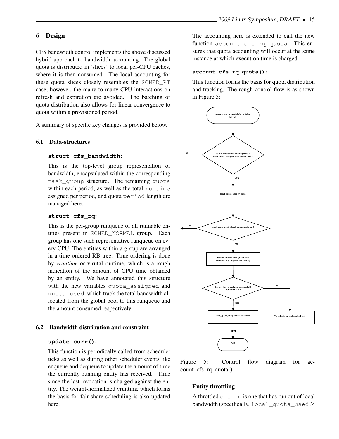## 6 Design

CFS bandwidth control implements the above discussed hybrid approach to bandwidth accounting. The global quota is distributed in 'slices' to local per-CPU caches, where it is then consumed. The local accounting for these quota slices closely resembles the SCHED\_RT case, however, the many-to-many CPU interactions on refresh and expiration are avoided. The batching of quota distribution also allows for linear convergence to quota within a provisioned period.

A summary of specific key changes is provided below.

#### 6.1 Data-structures

#### **struct cfs\_bandwidth**:

This is the top-level group representation of bandwidth, encapsulated within the corresponding task group structure. The remaining quota within each period, as well as the total runtime assigned per period, and quota period length are managed here.

#### **struct cfs\_rq**:

This is the per-group runqueue of all runnable entities present in SCHED\_NORMAL group. Each group has one such representative runqueue on every CPU. The entities within a group are arranged in a time-ordered RB tree. Time ordering is done by *vruntime* or virutal runtime, which is a rough indication of the amount of CPU time obtained by an entity. We have annotated this structure with the new variables quota\_assigned and quota\_used, which track the total bandwidth allocated from the global pool to this runqueue and the amount consumed respectively.

#### 6.2 Bandwidth distribution and constraint

#### **update\_curr()**:

This function is periodically called from scheduler ticks as well as during other scheduler events like enqueue and dequeue to update the amount of time the currently running entity has received. Time since the last invocation is charged against the entity. The weight-normalized vruntime which forms the basis for fair-share scheduling is also updated here.

The accounting here is extended to call the new function account cfs rq quota. This ensures that quota accounting will occur at the same instance at which execution time is charged.

#### **account\_cfs\_rq\_quota()**:

This function forms the basis for quota distribution and tracking. The rough control flow is as shown in Figure 5:



Figure 5: Control flow diagram for account\_cfs\_rq\_quota()

#### Entity throttling

A throttled  $cfs$  rq is one that has run out of local bandwidth (specifically,  $local\_quotaj\_used \geq$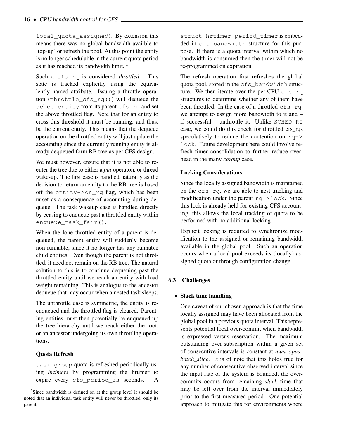local\_quota\_assigned). By extension this means there was no global bandwidth availble to 'top-up' or refresh the pool. At this point the entity is no longer schedulable in the current quota period as it has reached its bandwidth limit.<sup>5</sup>

Such a cfs rq is considered *throttled*. This state is tracked explicitly using the equivalently named attribute. Issuing a throttle operation (throttle\_cfs\_rq()) will dequeue the sched\_entity from its parent cfs\_rq and set the above throttled flag. Note that for an entity to cross this threshold it must be running, and thus, be the current entity. This means that the dequeue operation on the throttled entity will just update the accounting since the currently running entity is already dequeued form RB tree as per CFS design.

We must however, ensure that it is not able to reenter the tree due to either a *put* operaton, or thread wake-up. The first case is handled naturally as the decision to return an entity to the RB tree is based off the entity->on\_rq flag, which has been unset as a consequence of accounting during dequeue. The task wakeup case is handled directly by ceasing to enqueue past a throttled entity within enqueue task fair().

When the lone throttled entity of a parent is dequeued, the parent entity will suddenly become non-runnable, since it no longer has any runnable child entities. Even though the parent is not throttled, it need not remain on the RB tree. The natural solution to this is to continue dequeuing past the throttled entity until we reach an entity with load weight remaining. This is analogus to the ancestor dequeue that may occur when a nested task sleeps.

The unthrottle case is symmetric, the entity is reenqueued and the throttled flag is cleared. Parenting entities must then potentially be enqueued up the tree hierarchy until we reach either the root, or an ancestor undergoing its own throttling operations.

## Quota Refresh

task\_group quota is refreshed periodically using *hrtimers* by programming the hrtimer to expire every cfs\_period\_us seconds. A

struct hrtimer period\_timer is embedded in cfs bandwidth structure for this purpose. If there is a quota interval within which no bandwidth is consumed then the timer will not be re-programmed on expiration.

The refresh operation first refreshes the global quota pool, stored in the cfs\_bandwidth structure. We then iterate over the per-CPU cfs\_rq structures to determine whether any of them have been throttled. In the case of a throttled  $cfs$  rq, we attempt to assign more bandwidth to it and – if successful – unthrottle it. Unlike SCHED\_RT case, we could do this check for throttled cfs\_rqs speculatively to reduce the contention on  $rq$ lock. Future development here could involve refresh timer consolidation to further reduce overhead in the many *cgroup* case.

## Locking Considerations

Since the locally assigned bandwidth is maintained on the cfs\_rq, we are able to nest tracking and modification under the parent  $rq$ ->lock. Since this lock is already held for existing CFS accounting, this allows the local tracking of quota to be performed with no additional locking.

Explicit locking is required to synchronize modification to the assigned or remaining bandwidth available in the global pool. Such an operation occurs when a local pool exceeds its (locally) assigned quota or through configuration change.

## 6.3 Challenges

## • Slack time handling

One caveat of our chosen approach is that the time locally assigned may have been allocated from the global pool in a previous quota interval. This represents potential local over-commit when bandwidth is expressed versus reservation. The maximum outstanding over-subscription within a given set of consecutive intervals is constant at *num*\_*cpus*· *batch*\_*slice*. It is of note that this holds true for any number of consecutive observed interval since the input rate of the system is bounded, the overcommits occurs from remaining *slack* time that may be left over from the interval immediately prior to the first measured period. One potential approach to mitigate this for environments where

<sup>5</sup>Since bandwidth is defined on at the group level it should be noted that an individual task entity will never be throttled, only its parent.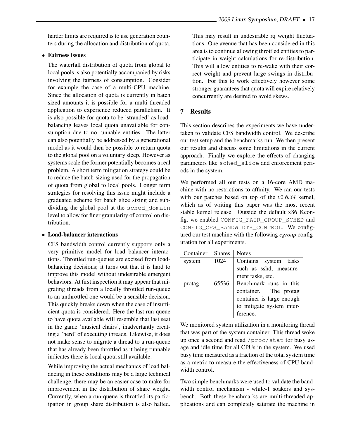harder limits are required is to use generation counters during the allocation and distribution of quota.

#### • Fairness issues

The waterfall distribution of quota from global to local pools is also potentially accompanied by risks involving the fairness of consumption. Consider for example the case of a multi-CPU machine. Since the allocation of quota is currently in batch sized amounts it is possible for a multi-threaded application to experience reduced parallelism. It is also possible for quota to be 'stranded' as loadbalancing leaves local quota unavailable for consumption due to no runnable entities. The latter can also potentially be addressed by a generational model as it would then be possible to return quota to the global pool on a voluntary sleep. However as systems scale the former potentially becomes a real problem. A short term mitigation strategy could be to reduce the batch-sizing used for the propagation of quota from global to local pools. Longer term strategies for resolving this issue might include a graduated scheme for batch slice sizing and subdividing the global pool at the sched\_domain level to allow for finer granularity of control on distribution.

#### • Load-balancer interactions

CFS bandwidth control currently supports only a very primitive model for load balancer interactions. Throttled run-queues are excised from loadbalancing decisions; it turns out that it is hard to improve this model without undesirable emergent behaviors. At first inspection it may appear that migrating threads from a locally throttled run-queue to an unthrottled one would be a sensible decision. This quickly breaks down when the case of insufficient quota is considered. Here the last run-queue to have quota available will resemble that last seat in the game 'musical chairs', inadvertantly creating a 'herd' of executing threads. Likewise, it does not make sense to migrate a thread to a run-queue that has already been throttled as it being runnable indicates there is local quota still available.

While improving the actual mechanics of load balancing in these conditions may be a large technical challenge, there may be an easier case to make for improvement in the distribution of share weight. Currently, when a run-queue is throttled its participation in group share distribution is also halted.

This may result in undesirable rq weight fluctuations. One avenue that has been considered in this area is to continue allowing throttled entities to participate in weight calculations for re-distribution. This will allow entities to re-wake with their correct weight and prevent large swings in distribution. For this to work effectively however some stronger guarantees that quota will expire relatively concurrently are desired to avoid skews.

#### 7 Results

This section describes the experiments we have undertaken to validate CFS bandwidth control. We describe our test setup and the benchmarks run. We then present our results and discuss some limitations in the current approach. Finally we explore the effects of changing parameters like sched\_slice and enforcement periods in the system.

We performed all our tests on a 16-core AMD machine with no restrictions to affinity. We ran our tests with our patches based on top of the *v2.6.34* kernel, which as of writing this paper was the most recent stable kernel release. Outside the default x86 Kconfig, we enabled CONFIG\_FAIR\_GROUP\_SCHED and CONFIG\_CFS\_BANDWIDTH\_CONTROL. We configured our test machine with the following *cgroup* configuration for all experiments.

| Container | <b>Shares</b> | <b>Notes</b>              |
|-----------|---------------|---------------------------|
| system    | 1024          | Contains system tasks     |
|           |               | such as sshd, measure-    |
|           |               | ment tasks, etc.          |
| protag    | 65536         | Benchmark runs in this    |
|           |               | container. The protag     |
|           |               | container is large enough |
|           |               | to mitigate system inter- |
|           |               | ference.                  |

We monitored system utilization in a monitoring thread that was part of the system container. This thread woke up once a second and read /proc/stat for busy usage and idle time for all CPUs in the system. We used busy time measured as a fraction of the total system time as a metric to measure the effectiveness of CPU bandwidth control.

Two simple benchmarks were used to validate the bandwidth control mechanism - while-1 soakers and sysbench. Both these benchmarks are multi-threaded applications and can completely saturate the machine in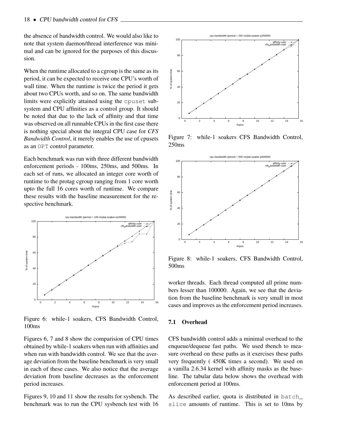the absence of bandwidth control. We would also like to note that system daemon/thread interference was minimal and can be ignored for the purposes of this discussion.

When the runtime allocated to a cgroup is the same as its period, it can be expected to receive one CPU's worth of wall time. When the runtime is twice the period it gets about two CPUs worth, and so on. The same bandwidth limits were explicitly attained using the cpuset subsystem and CPU affinities as a control group. It should be noted that due to the lack of affinity and that time was observed on all runnable CPUs in the first case there is nothing special about the integral CPU case for *CFS Bandwidth Control*, it merely enables the use of cpusets as an OPT control parameter.

Each benchmark was run with three different bandwidth enforcement periods - 100ms, 250ms, and 500ms. In each set of runs, we allocated an integer core worth of runtime to the protag cgroup ranging from 1 core worth upto the full 16 cores worth of runtime. We compare these results with the baseline measurement for the respective benchmark.



Figure 6: while-1 soakers, CFS Bandwidth Control, 100ms

Figures 6, 7 and 8 show the comparision of CPU times obtained by while-1 soakers when run with affinities and when run with bandwidth control. We see that the average deviation from the baseline benchmark is very small in each of these cases. We also notice that the average deviation from baseline decreases as the enforcement period increases.

Figures 9, 10 and 11 show the results for sysbench. The benchmark was to run the CPU sysbench test with 16



Figure 7: while-1 soakers CFS Bandwidth Control, 250ms



Figure 8: while-1 soakers, CFS Bandwidth Control, 500ms

worker threads. Each thread computed all prime numbers lesser than 100000. Again, we see that the deviation from the baseline benchmark is very small in most cases and improves as the enforcement period increases.

## 7.1 Overhead

CFS bandwidth control adds a minimal overhead to the enqueue/dequeue fast paths. We used tbench to measure overhead on these paths as it exercises these paths very frequently ( 450K times a second). We used on a vanilla 2.6.34 kernel with affinity masks as the baseline. The tabular data below shows the overhead with enforcement period at 100ms.

As described earlier, quota is distributed in batch\_ slice amounts of runtime. This is set to 10ms by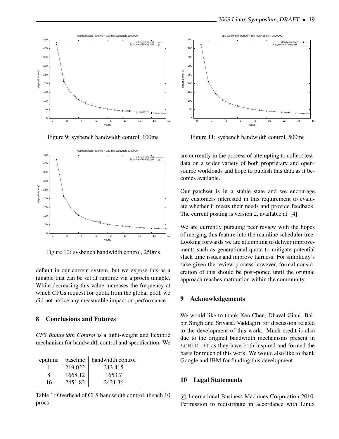

Figure 9: sysbench bandwidth control, 100ms



Figure 10: sysbench bandwidth control, 250ms

default in our current system, but we expose this as a tunable that can be set at runtime via a procfs tunable. While decreasing this value increases the frequency at which CPUs request for quota from the global pool, we did not notice any measurable impact on performance.

#### 8 Conclusions and Futures

*CFS Bandwidth Control* is a light-weight and flexibile mechanism for bandwidth control and specification. We

| cputime | baseline | bandwidth control |
|---------|----------|-------------------|
|         | 219.022  | 213.415           |
|         | 1668.12  | 1653.7            |
| 16      | 2451.82  | 2421.36           |

Table 1: Overhead of CFS bandwidth control, tbench 10 procs



Figure 11: sysbench bandwidth control, 500ms

are currently in the process of attempting to collect testdata on a wider variety of both proprietary and opensource workloads and hope to publish this data as it becomes available.

Our patchset is in a stable state and we encourage any customers interested in this requirement to evaluate whether it meets their needs and provide feedback. The current posting is version 2, available at [4].

We are currently pursuing peer review with the hopes of merging this feature into the mainline scheduler tree. Looking forwards we are attempting to deliver improvements such as generational quota to mitigate potential slack time issues and improve fairness. For simplicity's sake given the review process however, formal consideration of this should be post-poned until the original approach reaches maturation within the community.

## 9 Acknowledgements

We would like to thank Ken Chen, Dhaval Giani, Balbir Singh and Srivatsa Vaddagiri for discussion related to the development of this work. Much credit is also due to the original bandwidth mechanisms present in SCHED RT as they have both inspired and formed the basis for much of this work. We would also like to thank Google and IBM for funding this development.

#### 10 Legal Statements

 $\odot$  International Business Machines Corporation 2010. Permission to redistribute in accordance with Linux